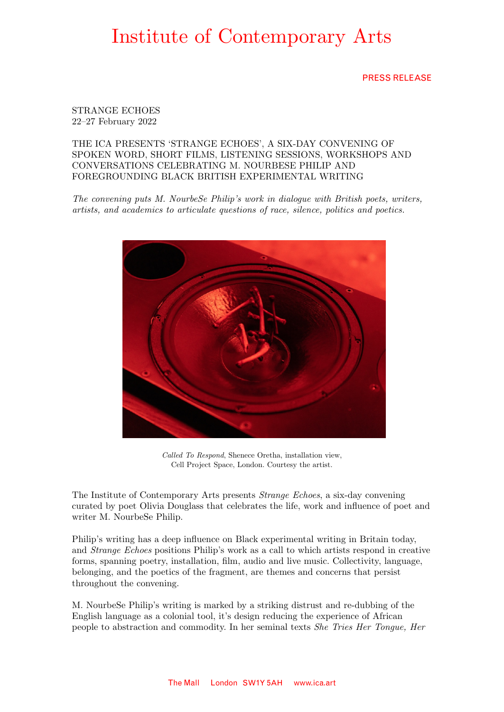### PRESS RELEASE

STRANGE ECHOES 22–27 February 2022

THE ICA PRESENTS 'STRANGE ECHOES', A SIX-DAY CONVENING OF SPOKEN WORD, SHORT FILMS, LISTENING SESSIONS, WORKSHOPS AND CONVERSATIONS CELEBRATING M. NOURBESE PHILIP AND FOREGROUNDING BLACK BRITISH EXPERIMENTAL WRITING

*The convening puts M. NourbeSe Philip's work in dialogue with British poets, writers, artists, and academics to articulate questions of race, silence, politics and poetics.* 



*Called To Respond*, Shenece Oretha, installation view, Cell Project Space, London. Courtesy the artist.

The Institute of Contemporary Arts presents *Strange Echoes*, a six-day convening curated by poet Olivia Douglass that celebrates the life, work and influence of poet and writer M. NourbeSe Philip.

Philip's writing has a deep influence on Black experimental writing in Britain today, and *Strange Echoes* positions Philip's work as a call to which artists respond in creative forms, spanning poetry, installation, film, audio and live music. Collectivity, language, belonging, and the poetics of the fragment, are themes and concerns that persist throughout the convening.

M. NourbeSe Philip's writing is marked by a striking distrust and re-dubbing of the English language as a colonial tool, it's design reducing the experience of African people to abstraction and commodity. In her seminal texts *She Tries Her Tongue, Her*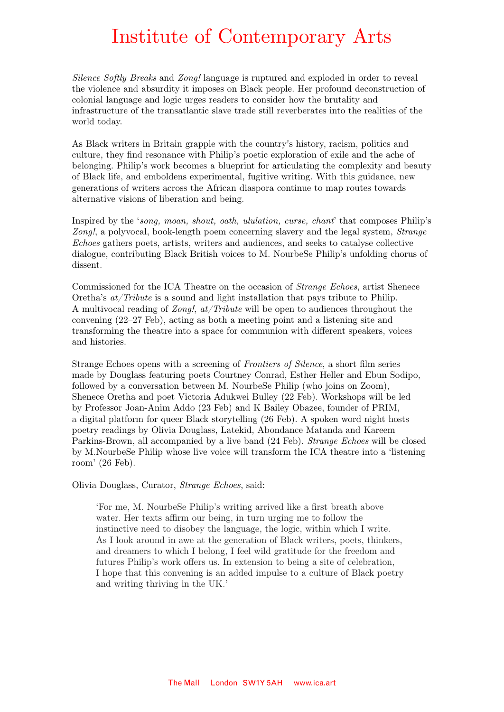*Silence Softly Breaks* and *Zong!* language is ruptured and exploded in order to reveal the violence and absurdity it imposes on Black people. Her profound deconstruction of colonial language and logic urges readers to consider how the brutality and infrastructure of the transatlantic slave trade still reverberates into the realities of the world today.

As Black writers in Britain grapple with the country's history, racism, politics and culture, they find resonance with Philip's poetic exploration of exile and the ache of belonging. Philip's work becomes a blueprint for articulating the complexity and beauty of Black life, and emboldens experimental, fugitive writing. With this guidance, new generations of writers across the African diaspora continue to map routes towards alternative visions of liberation and being.

Inspired by the '*song, moan, shout, oath, ululation, curse, chant*' that composes Philip's *Zong!*, a polyvocal, book-length poem concerning slavery and the legal system, *Strange Echoes* gathers poets, artists, writers and audiences, and seeks to catalyse collective dialogue, contributing Black British voices to M. NourbeSe Philip's unfolding chorus of dissent.

Commissioned for the ICA Theatre on the occasion of *Strange Echoes*, artist Shenece Oretha's *at/Tribute* is a sound and light installation that pays tribute to Philip. A multivocal reading of *Zong!*, *at/Tribute* will be open to audiences throughout the convening (22–27 Feb), acting as both a meeting point and a listening site and transforming the theatre into a space for communion with different speakers, voices and histories.

Strange Echoes opens with a screening of *Frontiers of Silence*, a short film series made by Douglass featuring poets Courtney Conrad, Esther Heller and Ebun Sodipo, followed by a conversation between M. NourbeSe Philip (who joins on Zoom), Shenece Oretha and poet Victoria Adukwei Bulley (22 Feb). Workshops will be led by Professor Joan-Anim Addo (23 Feb) and K Bailey Obazee, founder of PRIM, a digital platform for queer Black storytelling (26 Feb). A spoken word night hosts poetry readings by Olivia Douglass, Latekid, Abondance Matanda and Kareem Parkins-Brown, all accompanied by a live band (24 Feb). *Strange Echoes* will be closed by M.NourbeSe Philip whose live voice will transform the ICA theatre into a 'listening room' (26 Feb).

Olivia Douglass, Curator, *Strange Echoes*, said:

'For me, M. NourbeSe Philip's writing arrived like a first breath above water. Her texts affirm our being, in turn urging me to follow the instinctive need to disobey the language, the logic, within which I write. As I look around in awe at the generation of Black writers, poets, thinkers, and dreamers to which I belong, I feel wild gratitude for the freedom and futures Philip's work offers us. In extension to being a site of celebration, I hope that this convening is an added impulse to a culture of Black poetry and writing thriving in the UK.'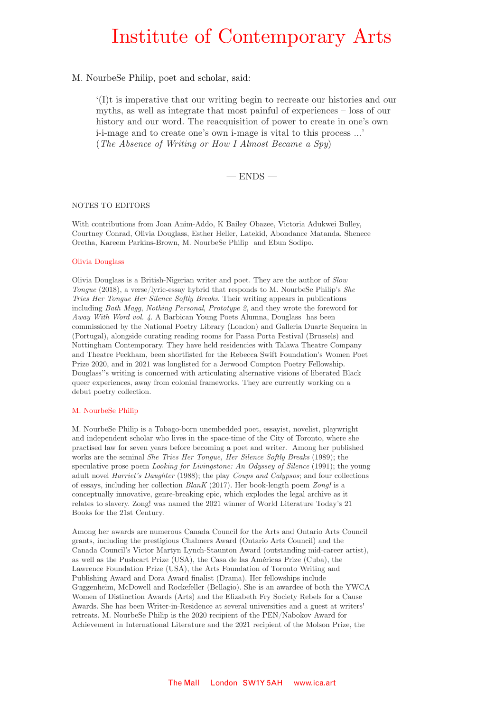#### M. NourbeSe Philip, poet and scholar, said:

'(I)t is imperative that our writing begin to recreate our histories and our myths, as well as integrate that most painful of experiences – loss of our history and our word. The reacquisition of power to create in one's own i-i-mage and to create one's own i-mage is vital to this process …' (*The Absence of Writing or How I Almost Became a Spy*)

 $-$  ENDS  $-$ 

#### NOTES TO EDITORS

With contributions from Joan Anim-Addo, K Bailey Obazee, Victoria Adukwei Bulley, Courtney Conrad, Olivia Douglass, Esther Heller, Latekid, Abondance Matanda, Shenece Oretha, Kareem Parkins-Brown, M. NourbeSe Philip and Ebun Sodipo.

#### Olivia Douglass

Olivia Douglass is a British-Nigerian writer and poet. They are the author of *Slow Tongue* (2018), a verse/lyric-essay hybrid that responds to M. NourbeSe Philip's *She Tries Her Tongue Her Silence Softly Breaks*. Their writing appears in publications including *Bath Magg*, *Nothing Personal*, *Prototype 2*, and they wrote the foreword for *Away With Word vol. 4*. A Barbican Young Poets Alumna, Douglass has been commissioned by the National Poetry Library (London) and Galleria Duarte Sequeira in (Portugal), alongside curating reading rooms for Passa Porta Festival (Brussels) and Nottingham Contemporary. They have held residencies with Talawa Theatre Company and Theatre Peckham, been shortlisted for the Rebecca Swift Foundation's Women Poet Prize 2020, and in 2021 was longlisted for a Jerwood Compton Poetry Fellowship. Douglass''s writing is concerned with articulating alternative visions of liberated Black queer experiences, away from colonial frameworks. They are currently working on a debut poetry collection.

#### M. NourbeSe Philip

M. NourbeSe Philip is a Tobago-born unembedded poet, essayist, novelist, playwright and independent scholar who lives in the space-time of the City of Toronto, where she practised law for seven years before becoming a poet and writer. Among her published works are the seminal *She Tries Her Tongue, Her Silence Softly Breaks* (1989); the speculative prose poem *Looking for Livingstone: An Odyssey of Silence* (1991); the young adult novel *Harriet's Daughter* (1988); the play *Coups and Calypsos*; and four collections of essays, including her collection *BlanK* (2017). Her book-length poem *Zong!* is a conceptually innovative, genre-breaking epic, which explodes the legal archive as it relates to slavery. Zong! was named the 2021 winner of World Literature Today's 21 Books for the 21st Century.

Among her awards are numerous Canada Council for the Arts and Ontario Arts Council grants, including the prestigious Chalmers Award (Ontario Arts Council) and the Canada Council's Victor Martyn Lynch-Staunton Award (outstanding mid-career artist), as well as the Pushcart Prize (USA), the Casa de las Américas Prize (Cuba), the Lawrence Foundation Prize (USA), the Arts Foundation of Toronto Writing and Publishing Award and Dora Award finalist (Drama). Her fellowships include Guggenheim, McDowell and Rockefeller (Bellagio). She is an awardee of both the YWCA Women of Distinction Awards (Arts) and the Elizabeth Fry Society Rebels for a Cause Awards. She has been Writer-in-Residence at several universities and a guest at writers' retreats. M. NourbeSe Philip is the 2020 recipient of the PEN/Nabokov Award for Achievement in International Literature and the 2021 recipient of the Molson Prize, the